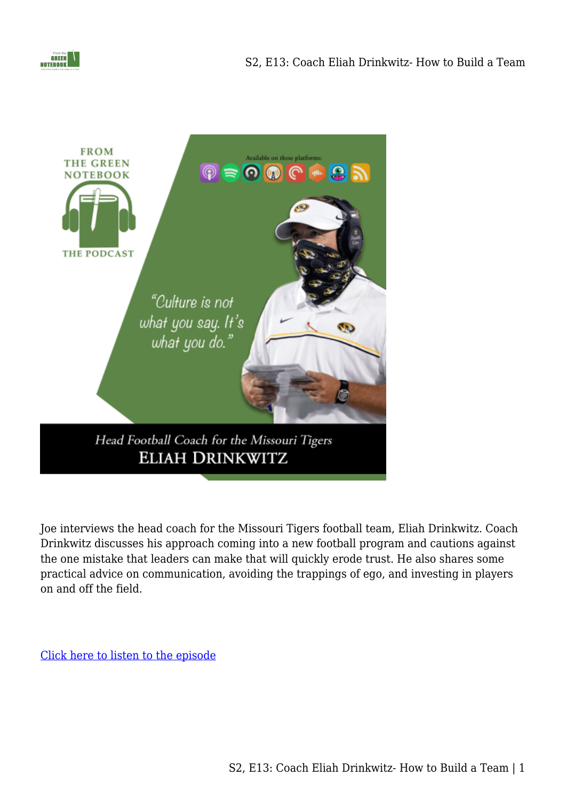



Joe interviews the head coach for the Missouri Tigers football team, Eliah Drinkwitz. Coach Drinkwitz discusses his approach coming into a new football program and cautions against the one mistake that leaders can make that will quickly erode trust. He also shares some practical advice on communication, avoiding the trappings of ego, and investing in players on and off the field.

[Click here to listen to the episode](ttps://www.buzzsprout.com/1410526/8259567)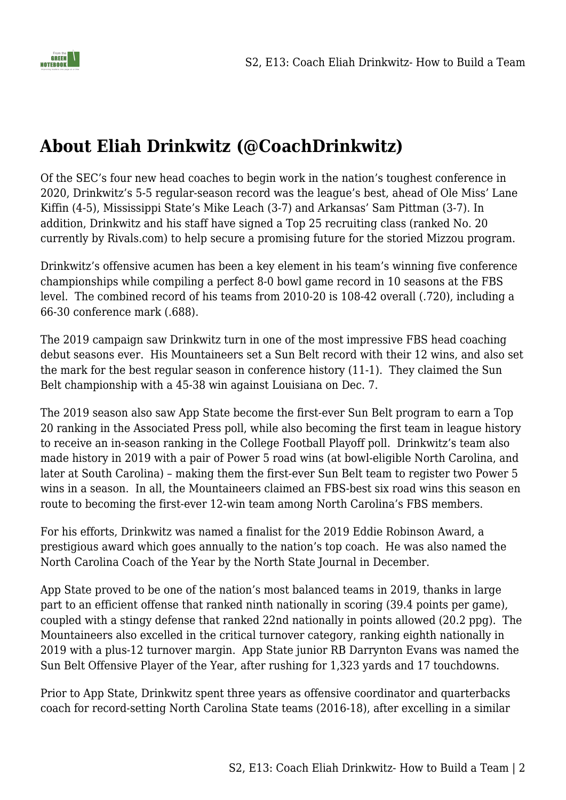

## **About Eliah Drinkwitz (@CoachDrinkwitz)**

Of the SEC's four new head coaches to begin work in the nation's toughest conference in 2020, Drinkwitz's 5-5 regular-season record was the league's best, ahead of Ole Miss' Lane Kiffin (4-5), Mississippi State's Mike Leach (3-7) and Arkansas' Sam Pittman (3-7). In addition, Drinkwitz and his staff have signed a Top 25 recruiting class (ranked No. 20 currently by Rivals.com) to help secure a promising future for the storied Mizzou program.

Drinkwitz's offensive acumen has been a key element in his team's winning five conference championships while compiling a perfect 8-0 bowl game record in 10 seasons at the FBS level. The combined record of his teams from 2010-20 is 108-42 overall (.720), including a 66-30 conference mark (.688).

The 2019 campaign saw Drinkwitz turn in one of the most impressive FBS head coaching debut seasons ever. His Mountaineers set a Sun Belt record with their 12 wins, and also set the mark for the best regular season in conference history (11-1). They claimed the Sun Belt championship with a 45-38 win against Louisiana on Dec. 7.

The 2019 season also saw App State become the first-ever Sun Belt program to earn a Top 20 ranking in the Associated Press poll, while also becoming the first team in league history to receive an in-season ranking in the College Football Playoff poll. Drinkwitz's team also made history in 2019 with a pair of Power 5 road wins (at bowl-eligible North Carolina, and later at South Carolina) – making them the first-ever Sun Belt team to register two Power 5 wins in a season. In all, the Mountaineers claimed an FBS-best six road wins this season en route to becoming the first-ever 12-win team among North Carolina's FBS members.

For his efforts, Drinkwitz was named a finalist for the 2019 Eddie Robinson Award, a prestigious award which goes annually to the nation's top coach. He was also named the North Carolina Coach of the Year by the North State Journal in December.

App State proved to be one of the nation's most balanced teams in 2019, thanks in large part to an efficient offense that ranked ninth nationally in scoring (39.4 points per game), coupled with a stingy defense that ranked 22nd nationally in points allowed (20.2 ppg). The Mountaineers also excelled in the critical turnover category, ranking eighth nationally in 2019 with a plus-12 turnover margin. App State junior RB Darrynton Evans was named the Sun Belt Offensive Player of the Year, after rushing for 1,323 yards and 17 touchdowns.

Prior to App State, Drinkwitz spent three years as offensive coordinator and quarterbacks coach for record-setting North Carolina State teams (2016-18), after excelling in a similar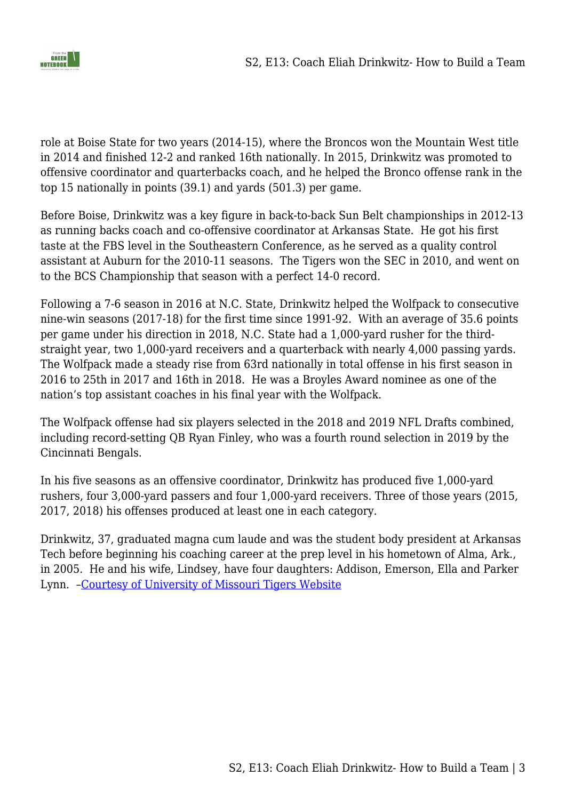

role at Boise State for two years (2014-15), where the Broncos won the Mountain West title in 2014 and finished 12-2 and ranked 16th nationally. In 2015, Drinkwitz was promoted to offensive coordinator and quarterbacks coach, and he helped the Bronco offense rank in the top 15 nationally in points (39.1) and yards (501.3) per game.

Before Boise, Drinkwitz was a key figure in back-to-back Sun Belt championships in 2012-13 as running backs coach and co-offensive coordinator at Arkansas State. He got his first taste at the FBS level in the Southeastern Conference, as he served as a quality control assistant at Auburn for the 2010-11 seasons. The Tigers won the SEC in 2010, and went on to the BCS Championship that season with a perfect 14-0 record.

Following a 7-6 season in 2016 at N.C. State, Drinkwitz helped the Wolfpack to consecutive nine-win seasons (2017-18) for the first time since 1991-92. With an average of 35.6 points per game under his direction in 2018, N.C. State had a 1,000-yard rusher for the thirdstraight year, two 1,000-yard receivers and a quarterback with nearly 4,000 passing yards. The Wolfpack made a steady rise from 63rd nationally in total offense in his first season in 2016 to 25th in 2017 and 16th in 2018. He was a Broyles Award nominee as one of the nation's top assistant coaches in his final year with the Wolfpack.

The Wolfpack offense had six players selected in the 2018 and 2019 NFL Drafts combined, including record-setting QB Ryan Finley, who was a fourth round selection in 2019 by the Cincinnati Bengals.

In his five seasons as an offensive coordinator, Drinkwitz has produced five 1,000-yard rushers, four 3,000-yard passers and four 1,000-yard receivers. Three of those years (2015, 2017, 2018) his offenses produced at least one in each category.

Drinkwitz, 37, graduated magna cum laude and was the student body president at Arkansas Tech before beginning his coaching career at the prep level in his hometown of Alma, Ark., in 2005. He and his wife, Lindsey, have four daughters: Addison, Emerson, Ella and Parker Lynn. [–Courtesy of University of Missouri Tigers Website](https://mutigers.com/sports/football/roster/coaches/eliah-drinkwitz/1666)